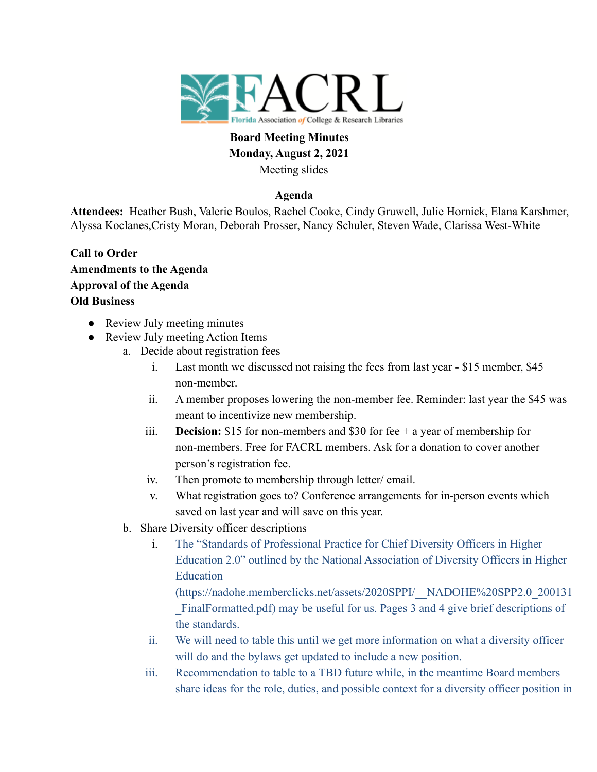

# **Board Meeting Minutes Monday, August 2, 2021** Meeting slides

## **Agenda**

**Attendees:** Heather Bush, Valerie Boulos, Rachel Cooke, Cindy Gruwell, Julie Hornick, Elana Karshmer, Alyssa Koclanes,Cristy Moran, Deborah Prosser, Nancy Schuler, Steven Wade, Clarissa West-White

- **Call to Order Amendments to the Agenda Approval of the Agenda Old Business**
	- Review July meeting minutes
	- Review July meeting Action Items
		- a. Decide about registration fees
			- i. Last month we discussed not raising the fees from last year \$15 member, \$45 non-member.
			- ii. A member proposes lowering the non-member fee. Reminder: last year the \$45 was meant to incentivize new membership.
			- iii. **Decision:** \$15 for non-members and \$30 for fee + a year of membership for non-members. Free for FACRL members. Ask for a donation to cover another person's registration fee.
			- iv. Then promote to membership through letter/ email.
			- v. What registration goes to? Conference arrangements for in-person events which saved on last year and will save on this year.
		- b. Share Diversity officer descriptions
			- i. The "Standards of Professional Practice for Chief Diversity Officers in Higher Education 2.0" outlined by the National Association of Diversity Officers in Higher Education

(https://nadohe.memberclicks.net/assets/2020SPPI/\_\_NADOHE%20SPP2.0\_200131 \_FinalFormatted.pdf) may be useful for us. Pages 3 and 4 give brief descriptions of the standards.

- ii. We will need to table this until we get more information on what a diversity officer will do and the bylaws get updated to include a new position.
- iii. Recommendation to table to a TBD future while, in the meantime Board members share ideas for the role, duties, and possible context for a diversity officer position in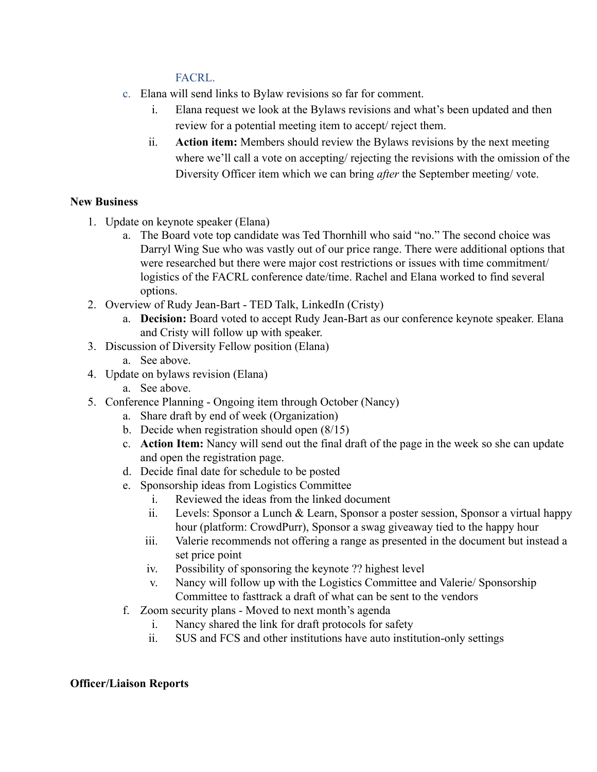## FACRL.

- c. Elana will send links to Bylaw revisions so far for comment.
	- i. Elana request we look at the Bylaws revisions and what's been updated and then review for a potential meeting item to accept/ reject them.
	- ii. **Action item:** Members should review the Bylaws revisions by the next meeting where we'll call a vote on accepting/ rejecting the revisions with the omission of the Diversity Officer item which we can bring *after* the September meeting/ vote.

## **New Business**

- 1. Update on keynote speaker (Elana)
	- a. The Board vote top candidate was Ted Thornhill who said "no." The second choice was Darryl Wing Sue who was vastly out of our price range. There were additional options that were researched but there were major cost restrictions or issues with time commitment/ logistics of the FACRL conference date/time. Rachel and Elana worked to find several options.
- 2. Overview of Rudy Jean-Bart TED Talk, LinkedIn (Cristy)
	- a. **Decision:** Board voted to accept Rudy Jean-Bart as our conference keynote speaker. Elana and Cristy will follow up with speaker.
- 3. Discussion of Diversity Fellow position (Elana)
	- a. See above.
- 4. Update on bylaws revision (Elana)
	- a. See above.
- 5. Conference Planning Ongoing item through October (Nancy)
	- a. Share draft by end of week (Organization)
	- b. Decide when registration should open (8/15)
	- c. **Action Item:** Nancy will send out the final draft of the page in the week so she can update and open the registration page.
	- d. Decide final date for schedule to be posted
	- e. Sponsorship ideas from Logistics Committee
		- i. Reviewed the ideas from the linked document
		- ii. Levels: Sponsor a Lunch & Learn, Sponsor a poster session, Sponsor a virtual happy hour (platform: CrowdPurr), Sponsor a swag giveaway tied to the happy hour
		- iii. Valerie recommends not offering a range as presented in the document but instead a set price point
		- iv. Possibility of sponsoring the keynote ?? highest level
		- v. Nancy will follow up with the Logistics Committee and Valerie/ Sponsorship Committee to fasttrack a draft of what can be sent to the vendors
	- f. Zoom security plans Moved to next month's agenda
		- i. Nancy shared the link for draft protocols for safety
		- ii. SUS and FCS and other institutions have auto institution-only settings

## **Officer/Liaison Reports**